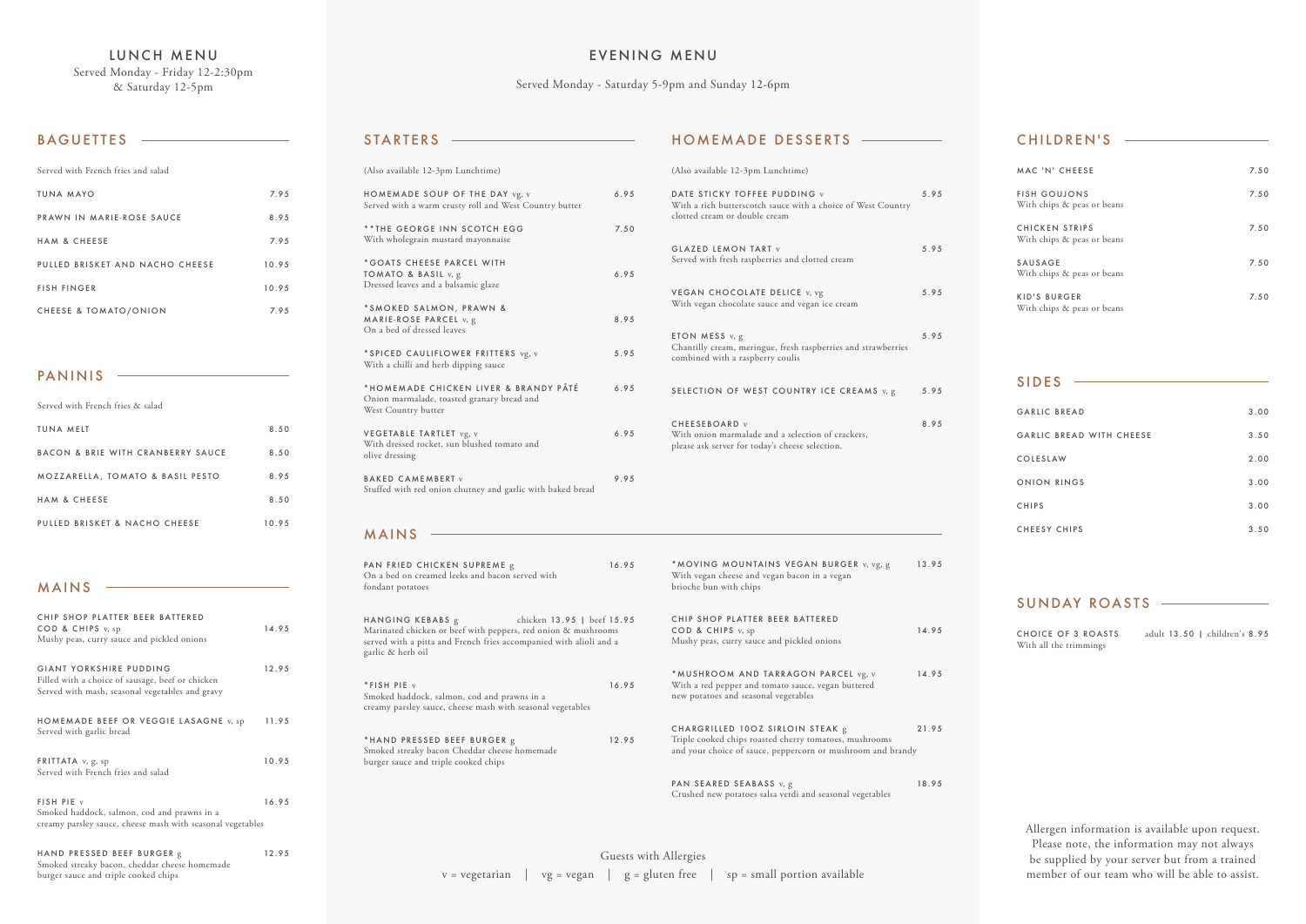LUNCH MENU Served Monday - Friday 12-2:30pm & Saturday 12-5pm

## BAGUETTES -

| Served with French fries and salad |       |
|------------------------------------|-------|
| TUNA MAYO                          | 7.95  |
| PRAWN IN MARIE-ROSE SAUCE          | 8.95  |
| <b>HAM &amp; CHFFSF</b>            | 7.95  |
| PULLED BRISKET AND NACHO CHEESE    | 10.95 |
| <b>FISH FINGER</b>                 | 10.95 |
| <b>CHEESE &amp; TOMATO/ONION</b>   | 7.95  |

| CHIP SHOP PLATTER BEER BATTERED<br>COD & CHIPS v, sp<br>Mushy peas, curry sauce and pickled onions                             | 14.95 |
|--------------------------------------------------------------------------------------------------------------------------------|-------|
| GIANT YORKSHIRE PUDDING<br>Filled with a choice of sausage, beef or chicken<br>Served with mash, seasonal vegetables and gravy | 12.95 |
| HOMEMADE BEEF OR VEGGIE LASAGNE v, sp<br>Served with garlic bread                                                              | 11.95 |
| <b>FRITTATA</b> $v, g, sp$<br>Served with French fries and salad                                                               | 10.95 |
| FISH PIE v<br>Smoked haddock, salmon, cod and prawns in a<br>creamy parsley sauce, cheese mash with seasonal vegetables        | 16.95 |
| HAND PRESSED BEEF BURGER g<br>Smoked streaky bacon, cheddar cheese homemade                                                    | 12.95 |

burger sauce and triple cooked chips

MAINS

### CHILDREN'S

| MAC 'N' CHEESE                                      | 7.50 |
|-----------------------------------------------------|------|
| <b>FISH GOUJONS</b><br>With chips & peas or beans   | 7.50 |
| <b>CHICKEN STRIPS</b><br>With chips & peas or beans | 7.50 |
| SAUSAGE<br>With chips & peas or beans               | 7.50 |
| <b>KID'S BURGER</b><br>With chips & peas or beans   | 7.50 |

| <b>GARLIC BREAD</b>      | 3.00 |
|--------------------------|------|
| GARLIC BREAD WITH CHEESE | 3.50 |
| COLESLAW                 | 2.00 |
| ONION RINGS              | 3.00 |
| <b>CHIPS</b>             | 3.00 |
| <b>CHEESY CHIPS</b>      | 3.50 |

#### SIDES

CHOICE OF 3 ROASTS adult 13.50 | children's 8.95 With all the trimmings

## SUNDAY ROASTS

PAN SEARED SEABASS v, g 18.95 Crushed new potatoes salsa verdi and seasonal vegetables

| Served with French fries & salad            |       |
|---------------------------------------------|-------|
| TUNA MEIT                                   | 8.50  |
| BACON & BRIE WITH CRANBERRY SAUCE           | 8.50  |
| <b>MOZZARELLA, TOMATO &amp; BASIL PESTO</b> | 8.95  |
| <b>HAM &amp; CHEESE</b>                     | 8.50  |
| PULLED BRISKET & NACHO CHEESE               | 10.95 |

PANINIS

|                                                                                                                                                                   | With vegan cheese and vegan<br>brioche bun with chips                                    |
|-------------------------------------------------------------------------------------------------------------------------------------------------------------------|------------------------------------------------------------------------------------------|
| chicken 13.95   beef 15.95<br>Marinated chicken or beef with peppers, red onion & mushrooms<br>served with a pitta and French fries accompanied with alioli and a | CHIP SHOP PLATTER BEEI<br>COD & CHIPS v, sp<br>Mushy peas, curry sauce and               |
| 16.95                                                                                                                                                             | *MUSHROOM AND TARR<br>With a red pepper and tomate<br>new potatoes and seasonal veg      |
| 12.95                                                                                                                                                             | CHARGRILLED 100Z SIRL<br>Triple cooked chips roasted cl<br>and your choice of sauce, pep |
|                                                                                                                                                                   |                                                                                          |

## MAINS

| * MOVING MOUNTAINS VEGAN BURGER v, vg, g<br>With vegan cheese and vegan bacon in a vegan<br>brioche bun with chips                 | 13.95 |
|------------------------------------------------------------------------------------------------------------------------------------|-------|
| CHIP SHOP PLATTER BEER BATTERED<br>COD & CHIPS v, sp<br>Mushy peas, curry sauce and pickled onions                                 | 14.95 |
| * MUSHROOM AND TARRAGON PARCEL vg, v<br>With a red pepper and tomato sauce, vegan buttered<br>new potatoes and seasonal vegetables | 14.95 |

LOIN STEAK g 21.95 therry tomatoes, mushrooms ppercorn or mushroom and brandy

| (Also available 12-3pm Lunchtime)                                                                          |      |
|------------------------------------------------------------------------------------------------------------|------|
| HOMEMADE SOUP OF THE DAY vg, v<br>Served with a warm crusty roll and West Country butter                   | 6.95 |
| **THE GEORGE INN SCOTCH EGG<br>With wholegrain mustard mayonnaise                                          | 7.50 |
| *GOATS CHEESE PARCEL WITH<br><b>TOMATO &amp; BASIL</b> $v, g$<br>Dressed leaves and a balsamic glaze       | 6.95 |
| *SMOKED SALMON, PRAWN &<br>MARIE-ROSE PARCEL v, g<br>On a bed of dressed leaves                            | 8.95 |
| *SPICED CAULIFLOWER FRITTERS vg, v<br>With a chilli and herb dipping sauce                                 | 5.95 |
| *HOMEMADE CHICKEN LIVER & BRANDY PÂTÉ<br>Onion marmalade, toasted granary bread and<br>West Country butter | 6.95 |
| VEGETABLE TARTLET vg, v<br>With dressed rocket, sun blushed tomato and<br>olive dressing                   | 6.95 |
| <b>BAKED CAMEMBERT</b> v<br>Stuffed with red onion chutney and garlic with baked bread                     | 9.95 |
|                                                                                                            |      |

### STARTERS

(Also available 12-3pm Lunchtime) DATE STICKY TOFFEE PUDDING v 5.95 With a rich butterscotch sauce with a choice of West Country clotted cream or double cream GLAZED LEMON TART v 5.95 Served with fresh raspberries and clotted cream VEGAN CHOCOLATE DELICE v, vg 5.95 With vegan chocolate sauce and vegan ice cream ETON MESS  $v, g$  5.95 Chantilly cream, meringue, fresh raspberries and strawberries combined with a raspberry coulis SELECTION OF WEST COUNTRY ICE CREAMS v, g 5.95 CHEESEBOARD v 8.95 With onion marmalade and a selection of crackers, please ask server for today's cheese selection.

# HOMEMADE DESSERTS

# EVENING MENU

Served Monday - Saturday 5-9pm and Sunday 12-6pm

Allergen information is available upon request. Please note, the information may not always be supplied by your server but from a trained member of our team who will be able to assist.